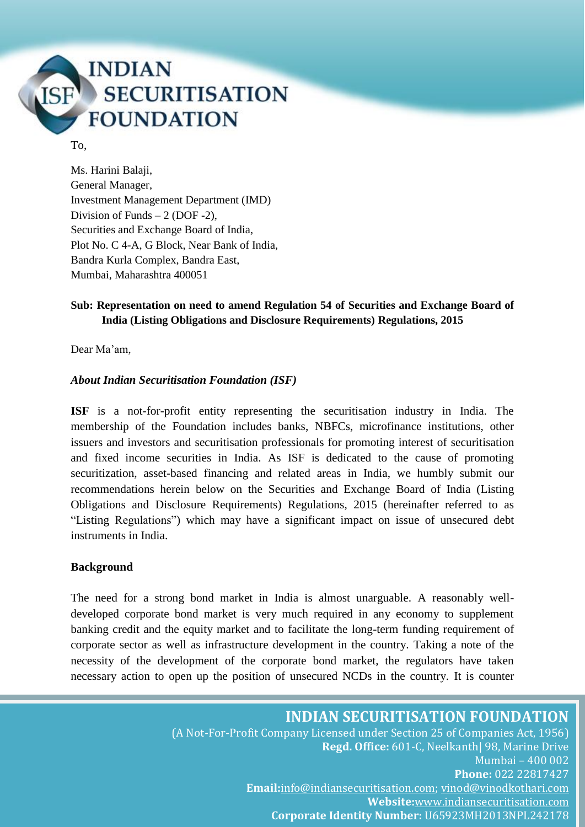

#### To,

Ms. Harini Balaji, General Manager, Investment Management Department (IMD) Division of Funds  $-2$  (DOF -2). Securities and Exchange Board of India, Plot No. C 4-A, G Block, Near Bank of India, Bandra Kurla Complex, Bandra East, Mumbai, Maharashtra 400051

### **Sub: Representation on need to amend Regulation 54 of Securities and Exchange Board of India (Listing Obligations and Disclosure Requirements) Regulations, 2015**

Dear Ma'am,

#### *About Indian Securitisation Foundation (ISF)*

**ISF** is a not-for-profit entity representing the securitisation industry in India. The membership of the Foundation includes banks, NBFCs, microfinance institutions, other issuers and investors and securitisation professionals for promoting interest of securitisation and fixed income securities in India. As ISF is dedicated to the cause of promoting securitization, asset-based financing and related areas in India, we humbly submit our recommendations herein below on the Securities and Exchange Board of India (Listing Obligations and Disclosure Requirements) Regulations, 2015 (hereinafter referred to as "Listing Regulations") which may have a significant impact on issue of unsecured debt instruments in India.

#### **Background**

The need for a strong bond market in India is almost unarguable. A reasonably welldeveloped corporate bond market is very much required in any economy to supplement banking credit and the equity market and to facilitate the long-term funding requirement of corporate sector as well as infrastructure development in the country. Taking a note of the necessity of the development of the corporate bond market, the regulators have taken necessary action to open up the position of unsecured NCDs in the country. It is counter

**INDIAN SECURITISATION FOUNDATION**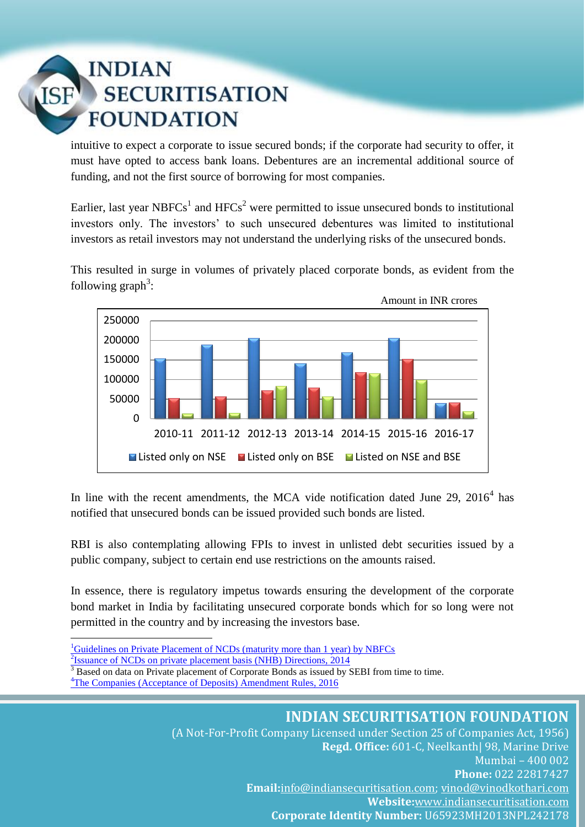# **INDIAN SECURITISATION FOUNDATION**

intuitive to expect a corporate to issue secured bonds; if the corporate had security to offer, it must have opted to access bank loans. Debentures are an incremental additional source of funding, and not the first source of borrowing for most companies.

Earlier, last year NBFCs<sup>1</sup> and HFCs<sup>2</sup> were permitted to issue unsecured bonds to institutional investors only. The investors' to such unsecured debentures was limited to institutional investors as retail investors may not understand the underlying risks of the unsecured bonds.

This resulted in surge in volumes of privately placed corporate bonds, as evident from the following  $graph^3$ :



In line with the recent amendments, the MCA vide notification dated June 29,  $2016<sup>4</sup>$  has notified that unsecured bonds can be issued provided such bonds are listed.

RBI is also contemplating allowing FPIs to invest in unlisted debt securities issued by a public company, subject to certain end use restrictions on the amounts raised.

In essence, there is regulatory impetus towards ensuring the development of the corporate bond market in India by facilitating unsecured corporate bonds which for so long were not permitted in the country and by increasing the investors base.

- <sup>1</sup>[Guidelines on Private Placement of NCDs \(maturity more than 1 year\) by NBFCs](https://rbidocs.rbi.org.in/rdocs/Notification/PDFs/DNBRPC20022015.pdf)
- $2$ <sub>ssuance of NCDs</sub> on private placement basis (NHB) Directions, 2014

1

<sup>3</sup> Based on data on Private placement of Corporate Bonds as issued by SEBI from time to time.

<sup>4</sup>[The Companies \(Acceptance of Deposits\) Amendment Rules, 2016](http://www.mca.gov.in/Ministry/pdf/Rules_30062016.pdf)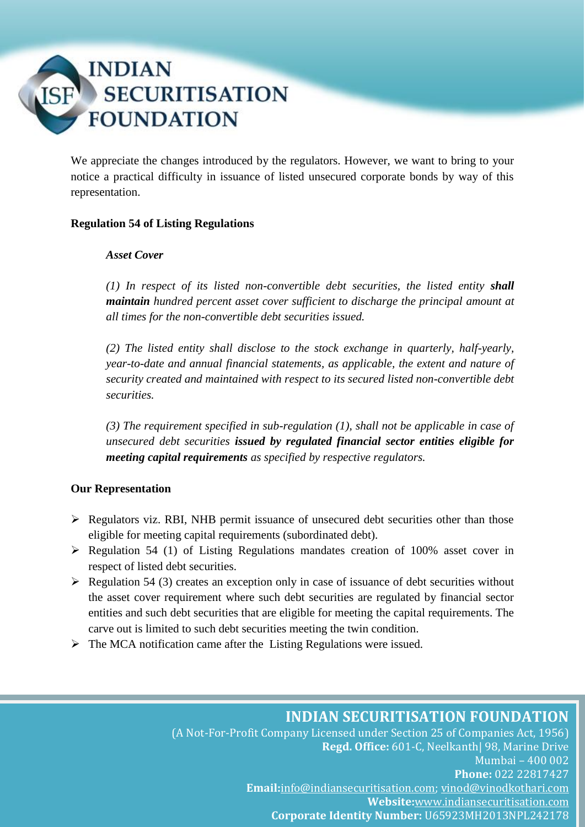

We appreciate the changes introduced by the regulators. However, we want to bring to your notice a practical difficulty in issuance of listed unsecured corporate bonds by way of this representation.

### **Regulation 54 of Listing Regulations**

#### *Asset Cover*

*(1) In respect of its listed non-convertible debt securities, the listed entity shall maintain hundred percent asset cover sufficient to discharge the principal amount at all times for the non-convertible debt securities issued.*

*(2) The listed entity shall disclose to the stock exchange in quarterly, half-yearly, year-to-date and annual financial statements, as applicable, the extent and nature of security created and maintained with respect to its secured listed non-convertible debt securities.*

*(3) The requirement specified in sub-regulation (1), shall not be applicable in case of unsecured debt securities issued by regulated financial sector entities eligible for meeting capital requirements as specified by respective regulators.*

### **Our Representation**

- $\triangleright$  Regulators viz. RBI, NHB permit issuance of unsecured debt securities other than those eligible for meeting capital requirements (subordinated debt).
- $\triangleright$  Regulation 54 (1) of Listing Regulations mandates creation of 100% asset cover in respect of listed debt securities.
- $\triangleright$  Regulation 54 (3) creates an exception only in case of issuance of debt securities without the asset cover requirement where such debt securities are regulated by financial sector entities and such debt securities that are eligible for meeting the capital requirements. The carve out is limited to such debt securities meeting the twin condition.
- $\triangleright$  The MCA notification came after the Listing Regulations were issued.

## **INDIAN SECURITISATION FOUNDATION**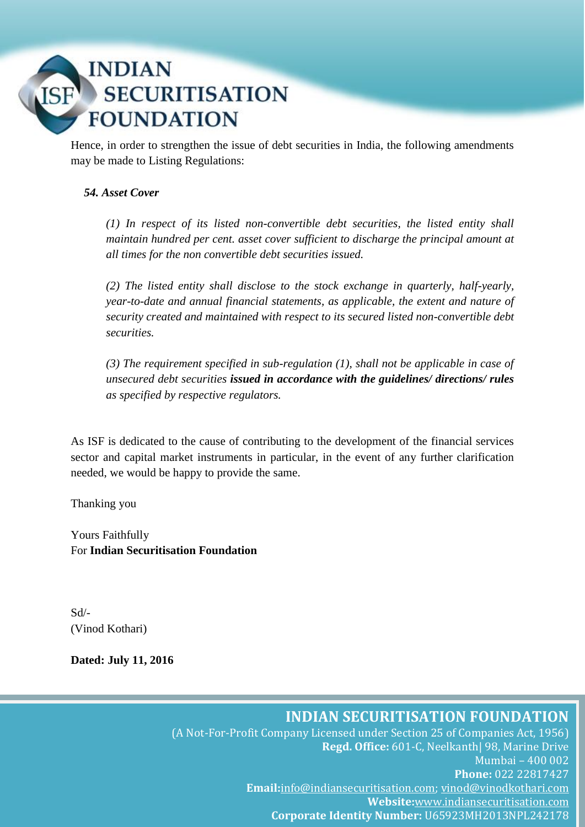# **INDIAN SECURITISATION FOUNDATION**

Hence, in order to strengthen the issue of debt securities in India, the following amendments may be made to Listing Regulations:

## *54. Asset Cover*

*(1) In respect of its listed non-convertible debt securities, the listed entity shall maintain hundred per cent. asset cover sufficient to discharge the principal amount at all times for the non convertible debt securities issued.*

*(2) The listed entity shall disclose to the stock exchange in quarterly, half-yearly, year-to-date and annual financial statements, as applicable, the extent and nature of security created and maintained with respect to its secured listed non-convertible debt securities.*

*(3) The requirement specified in sub-regulation (1), shall not be applicable in case of unsecured debt securities issued in accordance with the guidelines/ directions/ rules as specified by respective regulators.*

As ISF is dedicated to the cause of contributing to the development of the financial services sector and capital market instruments in particular, in the event of any further clarification needed, we would be happy to provide the same.

Thanking you

Yours Faithfully For **Indian Securitisation Foundation**

Sd/- (Vinod Kothari)

**Dated: July 11, 2016**

**INDIAN SECURITISATION FOUNDATION**